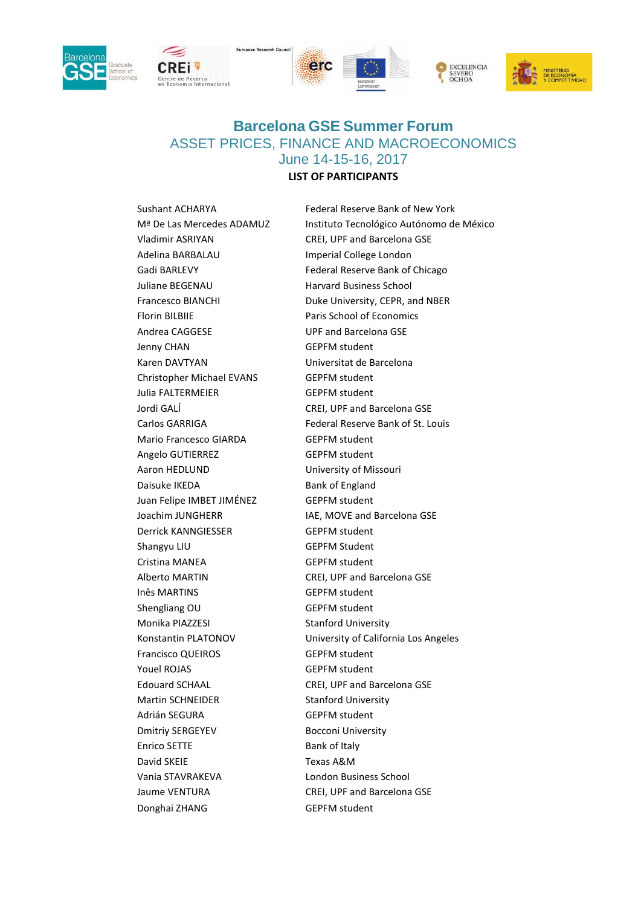









## **Barcelona GSE Summer Forum** ASSET PRICES, FINANCE AND MACROECONOMICS June 14-15-16, 2017

## **LIST OF PARTICIPANTS**

Vladimir ASRIYAN CREI, UPF and Barcelona GSE Adelina BARBALAU Imperial College London Juliane BEGENAU Harvard Business School Florin BILBIIE Paris School of Economics Andrea CAGGESE UPF and Barcelona GSE Jenny CHAN GEPFM student Karen DAVTYAN Universitat de Barcelona Christopher Michael EVANS GEPFM student Julia FALTERMEIER GEPFM student Jordi GALÍ CREI, UPF and Barcelona GSE Mario Francesco GIARDA GEPFM student Angelo GUTIERREZ GEPFM student Aaron HEDLUND University of Missouri Daisuke IKEDA Bank of England Juan Felipe IMBET JIMÉNEZ GEPFM student Derrick KANNGIESSER GEPFM student Shangyu LIU GEPFM Student Cristina MANEA GEPFM student Alberto MARTIN CREI, UPF and Barcelona GSE Inês MARTINS GEPFM student Shengliang OU GEPFM student Monika PIAZZESI Stanford University Francisco QUEIROS **GEPFM** student Youel ROJAS GEPFM student Edouard SCHAAL CREI, UPF and Barcelona GSE Martin SCHNEIDER Stanford University Adrián SEGURA GEPFM student Dmitriy SERGEYEV Bocconi University Enrico SETTE Bank of Italy David SKEIE Texas A&M Vania STAVRAKEVA London Business School Jaume VENTURA CREI, UPF and Barcelona GSE Donghai ZHANG GEPFM student

Sushant ACHARYA Federal Reserve Bank of New York Mª De Las Mercedes ADAMUZ Instituto Tecnológico Autónomo de México Gadi BARLEVY **Federal Reserve Bank of Chicago** Francesco BIANCHI Duke University, CEPR, and NBER Carlos GARRIGA Federal Reserve Bank of St. Louis Joachim JUNGHERR IAE, MOVE and Barcelona GSE Konstantin PLATONOV University of California Los Angeles